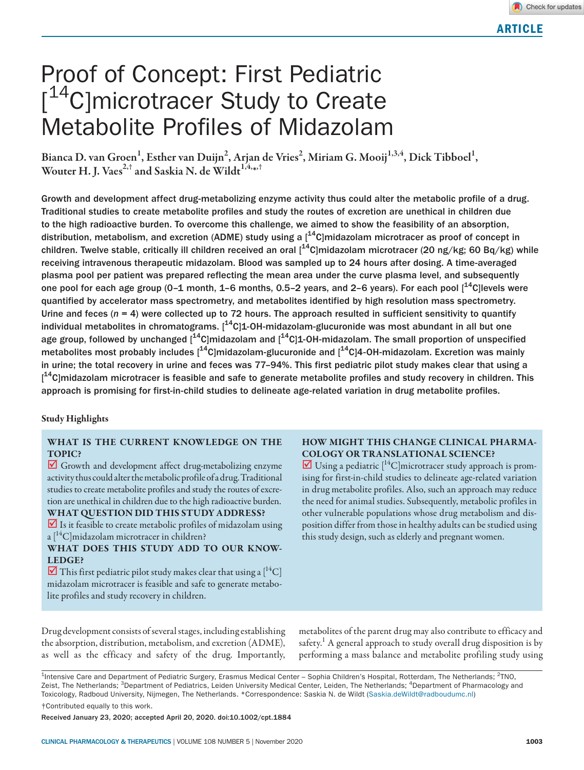# Proof of Concept: First Pediatric [<sup>14</sup>C]microtracer Study to Create Metabolite Profiles of Midazolam

Bianca D. van Groen $^1$ , Esther van Duijn $^2$ , Arjan de Vries $^2$ , Miriam G. Mooij $^{1,3,4}$ , Dick Tibboel $^1$ , Wouter H. J. Vaes $^{2, \dagger}$  and Saskia N. de Wildt $^{1,4,_{\rm \ast},\dagger}$ 

Growth and development affect drug-metabolizing enzyme activity thus could alter the metabolic profile of a drug. Traditional studies to create metabolite profiles and study the routes of excretion are unethical in children due to the high radioactive burden. To overcome this challenge, we aimed to show the feasibility of an absorption, distribution, metabolism, and excretion (ADME) study using a  $1^{4}$ C|midazolam microtracer as proof of concept in children. Twelve stable, critically ill children received an oral  $1^{4}$ C|midazolam microtracer (20 ng/kg; 60 Bq/kg) while receiving intravenous therapeutic midazolam. Blood was sampled up to 24 hours after dosing. A time-averaged plasma pool per patient was prepared reflecting the mean area under the curve plasma level, and subsequently one pool for each age group (0–1 month, 1–6 months, 0.5–2 years, and 2–6 years). For each pool  $[14C]$ levels were quantified by accelerator mass spectrometry, and metabolites identified by high resolution mass spectrometry. Urine and feces  $(n = 4)$  were collected up to 72 hours. The approach resulted in sufficient sensitivity to quantify individual metabolites in chromatograms.  $1^{4}C$ [1-OH-midazolam-glucuronide was most abundant in all but one age group, followed by unchanged  $[$ <sup>14</sup>C]midazolam and  $[$ <sup>14</sup>C]1-OH-midazolam. The small proportion of unspecified metabolites most probably includes  $1^{4}$ C $\vert$ midazolam-glucuronide and  $\vert^{4}$ C $\vert$ 4-OH-midazolam. Excretion was mainly in urine; the total recovery in urine and feces was 77–94%. This first pediatric pilot study makes clear that using a [<sup>14</sup>C]midazolam microtracer is feasible and safe to generate metabolite profiles and study recovery in children. This approach is promising for first-in-child studies to delineate age-related variation in drug metabolite profiles.

## Study Highlights

## WHAT IS THE CURRENT KNOWLEDGE ON THE TOPIC?

Growth and development affect drug-metabolizing enzyme activity thus could alter the metabolic profile of a drug. Traditional studies to create metabolite profiles and study the routes of excretion are unethical in children due to the high radioactive burden. WHAT QUESTION DID THIS STUDY ADDRESS?

 $\overline{\mathbf{y}}$  Is it feasible to create metabolic profiles of midazolam using  $a<sup>[14</sup>C]$ midazolam microtracer in children?

WHAT DOES THIS STUDY ADD TO OUR KNOW-LEDGE?

 $\overline{\mathbf{y}}$  This first pediatric pilot study makes clear that using a  $\mathsf{I}^{14}\mathsf{C}$ midazolam microtracer is feasible and safe to generate metabolite profiles and study recovery in children.

## HOW MIGHT THIS CHANGE CLINICAL PHARMA-COLOGY OR TRANSLATIONAL SCIENCE?

 $\overline{\mathbf{V}}$  Using a pediatric  $\mathbf{I}^{\text{14}}$ C]microtracer study approach is promising for first-in-child studies to delineate age-related variation in drug metabolite profiles. Also, such an approach may reduce the need for animal studies. Subsequently, metabolic profiles in other vulnerable populations whose drug metabolism and disposition differ from those in healthy adults can be studied using this study design, such as elderly and pregnant women.

Drug development consists of several stages, including establishing the absorption, distribution, metabolism, and excretion (ADME), as well as the efficacy and safety of the drug. Importantly, metabolites of the parent drug may also contribute to efficacy and safety.<sup>1</sup> A general approach to study overall drug disposition is by performing a mass balance and metabolite profiling study using

<sup>1</sup>Intensive Care and Department of Pediatric Surgery, Erasmus Medical Center – Sophia Children's Hospital, Rotterdam, The Netherlands; <sup>2</sup>TNO, Zeist, The Netherlands; <sup>3</sup>Department of Pediatrics, Leiden University Medical Center, Leiden, The Netherlands; <sup>4</sup>Department of Pharmacology and Toxicology, Radboud University, Nijmegen, The Netherlands. \*Correspondence: Saskia N. de Wildt [\(Saskia.deWildt@radboudumc.nl](mailto:Saskia.deWildt@radboudumc.nl))

†Contributed equally to this work.

Received January 23, 2020; accepted April 20, 2020. doi:10.1002/cpt.1884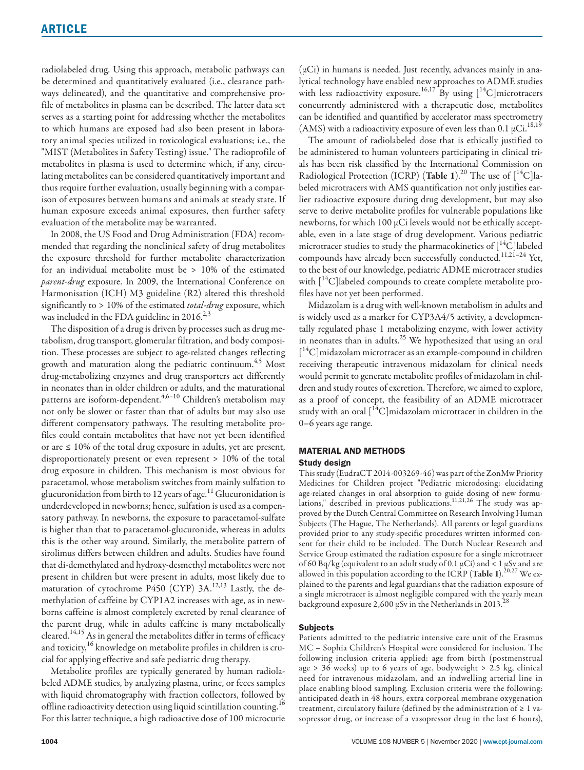radiolabeled drug. Using this approach, metabolic pathways can be determined and quantitatively evaluated (i.e., clearance pathways delineated), and the quantitative and comprehensive profile of metabolites in plasma can be described. The latter data set serves as a starting point for addressing whether the metabolites to which humans are exposed had also been present in laboratory animal species utilized in toxicological evaluations; i.e., the "MIST (Metabolites in Safety Testing) issue." The radioprofile of metabolites in plasma is used to determine which, if any, circulating metabolites can be considered quantitatively important and thus require further evaluation, usually beginning with a comparison of exposures between humans and animals at steady state. If human exposure exceeds animal exposures, then further safety evaluation of the metabolite may be warranted.

In 2008, the US Food and Drug Administration (FDA) recommended that regarding the nonclinical safety of drug metabolites the exposure threshold for further metabolite characterization for an individual metabolite must be > 10% of the estimated *parent-drug* exposure. In 2009, the International Conference on Harmonisation (ICH) M3 guideline (R2) altered this threshold significantly to > 10% of the estimated *total-drug* exposure, which was included in the FDA guideline in  $2016.<sup>2,3</sup>$ 

The disposition of a drug is driven by processes such as drug metabolism, drug transport, glomerular filtration, and body composition. These processes are subject to age-related changes reflecting growth and maturation along the pediatric continuum.<sup>4,5</sup> Most drug-metabolizing enzymes and drug transporters act differently in neonates than in older children or adults, and the maturational patterns are isoform-dependent.<sup>4,6-10</sup> Children's metabolism may not only be slower or faster than that of adults but may also use different compensatory pathways. The resulting metabolite profiles could contain metabolites that have not yet been identified or are ≤ 10% of the total drug exposure in adults, yet are present, disproportionately present or even represent > 10% of the total drug exposure in children. This mechanism is most obvious for paracetamol, whose metabolism switches from mainly sulfation to glucuronidation from birth to 12 years of age.<sup>11</sup> Glucuronidation is underdeveloped in newborns; hence, sulfation is used as a compensatory pathway. In newborns, the exposure to paracetamol-sulfate is higher than that to paracetamol-glucuronide, whereas in adults this is the other way around. Similarly, the metabolite pattern of sirolimus differs between children and adults. Studies have found that di-demethylated and hydroxy-desmethyl metabolites were not present in children but were present in adults, most likely due to maturation of cytochrome P450 (CYP) 3A.<sup>12,13</sup> Lastly, the demethylation of caffeine by CYP1A2 increases with age, as in newborns caffeine is almost completely excreted by renal clearance of the parent drug, while in adults caffeine is many metabolically cleared.<sup>14,15</sup> As in general the metabolites differ in terms of efficacy and toxicity,<sup>16</sup> knowledge on metabolite profiles in children is crucial for applying effective and safe pediatric drug therapy.

Metabolite profiles are typically generated by human radiolabeled ADME studies, by analyzing plasma, urine, or feces samples with liquid chromatography with fraction collectors, followed by offline radioactivity detection using liquid scintillation counting.<sup>16</sup> For this latter technique, a high radioactive dose of 100 microcurie

(µCi) in humans is needed. Just recently, advances mainly in analytical technology have enabled new approaches to ADME studies with less radioactivity exposure.<sup>16,17</sup> By using  $[$ <sup>14</sup>C]microtracers concurrently administered with a therapeutic dose, metabolites can be identified and quantified by accelerator mass spectrometry (AMS) with a radioactivity exposure of even less than 0.1  $\mu$ Ci.<sup>18,19</sup>

The amount of radiolabeled dose that is ethically justified to be administered to human volunteers participating in clinical trials has been risk classified by the International Commission on Radiological Protection (ICRP) (Table 1).<sup>20</sup> The use of  $[^{14}C]$ labeled microtracers with AMS quantification not only justifies earlier radioactive exposure during drug development, but may also serve to derive metabolite profiles for vulnerable populations like newborns, for which 100 µCi levels would not be ethically acceptable, even in a late stage of drug development. Various pediatric microtracer studies to study the pharmacokinetics of  $[{}^{14}C]$ labeled compounds have already been successfully conducted.<sup>11,21-24</sup> Yet, to the best of our knowledge, pediatric ADME microtracer studies with  $[14C]$ labeled compounds to create complete metabolite profiles have not yet been performed.

Midazolam is a drug with well-known metabolism in adults and is widely used as a marker for CYP3A4/5 activity, a developmentally regulated phase 1 metabolizing enzyme, with lower activity in neonates than in adults. $25$  We hypothesized that using an oral [ 14C]midazolam microtracer as an example-compound in children receiving therapeutic intravenous midazolam for clinical needs would permit to generate metabolite profiles of midazolam in children and study routes of excretion. Therefore, we aimed to explore, as a proof of concept, the feasibility of an ADME microtracer study with an oral  $[14C]$ midazolam microtracer in children in the 0–6 years age range.

#### MATERIAL AND METHODS

#### Study design

This study (EudraCT 2014-003269-46) was part of the ZonMw Priority Medicines for Children project "Pediatric microdosing: elucidating age-related changes in oral absorption to guide dosing of new formulations," described in previous publications.<sup>11,21,26</sup> The study was approved by the Dutch Central Committee on Research Involving Human Subjects (The Hague, The Netherlands). All parents or legal guardians provided prior to any study-specific procedures written informed consent for their child to be included. The Dutch Nuclear Research and Service Group estimated the radiation exposure for a single microtracer of 60 Bq/kg (equivalent to an adult study of 0.1  $\mu$ Ci) and < 1  $\mu$ Sv and are allowed in this population according to the ICRP (Table 1).<sup>20,27</sup> We explained to the parents and legal guardians that the radiation exposure of a single microtracer is almost negligible compared with the yearly mean background exposure 2,600  $\mu$ Sv in the Netherlands in 2013.<sup>28</sup>

## Subjects

Patients admitted to the pediatric intensive care unit of the Erasmus MC – Sophia Children's Hospital were considered for inclusion. The following inclusion criteria applied: age from birth (postmenstrual age > 36 weeks) up to 6 years of age, bodyweight > 2.5 kg, clinical need for intravenous midazolam, and an indwelling arterial line in place enabling blood sampling. Exclusion criteria were the following: anticipated death in 48 hours, extra corporeal membrane oxygenation treatment, circulatory failure (defined by the administration of ≥ 1 vasopressor drug, or increase of a vasopressor drug in the last 6 hours),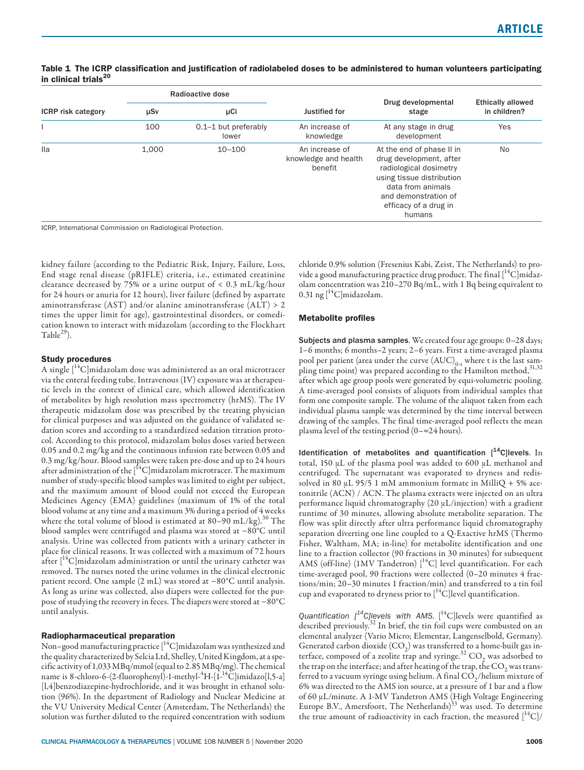|                           | Radioactive dose |                               |                                                   |                                                                                                                                                                                             | <b>Ethically allowed</b><br>in children? |
|---------------------------|------------------|-------------------------------|---------------------------------------------------|---------------------------------------------------------------------------------------------------------------------------------------------------------------------------------------------|------------------------------------------|
| <b>ICRP</b> risk category | μCi<br>μSν       |                               | Justified for                                     | Drug developmental<br>stage                                                                                                                                                                 |                                          |
|                           | 100              | 0.1-1 but preferably<br>lower | An increase of<br>knowledge                       | At any stage in drug<br>development                                                                                                                                                         | Yes                                      |
| lla                       | 1.000            | $10 - 100$                    | An increase of<br>knowledge and health<br>benefit | At the end of phase II in<br>drug development, after<br>radiological dosimetry<br>using tissue distribution<br>data from animals<br>and demonstration of<br>efficacy of a drug in<br>humans | <b>No</b>                                |

## Table 1 The ICRP classification and justification of radiolabeled doses to be administered to human volunteers participating in clinical trials<sup>20</sup>

ICRP, International Commission on Radiological Protection.

kidney failure (according to the Pediatric Risk, Injury, Failure, Loss, End stage renal disease (pRIFLE) criteria, i.e., estimated creatinine clearance decreased by 75% or a urine output of < 0.3 mL/kg/hour for 24 hours or anuria for 12 hours), liver failure (defined by aspartate aminotransferase (AST) and/or alanine aminotransferase (ALT) > 2 times the upper limit for age), gastrointestinal disorders, or comedication known to interact with midazolam (according to the Flockhart Table $^{29}$ ).

## Study procedures

A single [<sup>14</sup>C]midazolam dose was administered as an oral microtracer via the enteral feeding tube. Intravenous (IV) exposure was at therapeutic levels in the context of clinical care, which allowed identification of metabolites by high resolution mass spectrometry (hrMS). The IV therapeutic midazolam dose was prescribed by the treating physician for clinical purposes and was adjusted on the guidance of validated sedation scores and according to a standardized sedation titration protocol. According to this protocol, midazolam bolus doses varied between 0.05 and 0.2 mg/kg and the continuous infusion rate between 0.05 and 0.3 mg/kg/hour. Blood samples were taken pre-dose and up to 24 hours after administration of the [<sup>14</sup>C]midazolam microtracer. The maximum number of study-specific blood samples was limited to eight per subject, and the maximum amount of blood could not exceed the European Medicines Agency (EMA) guidelines (maximum of 1% of the total blood volume at any time and a maximum 3% during a period of 4 weeks where the total volume of blood is estimated at 80–90 mL/kg).<sup>30</sup> The blood samples were centrifuged and plasma was stored at −80°C until analysis. Urine was collected from patients with a urinary catheter in place for clinical reasons. It was collected with a maximum of 72 hours after  $[$ <sup>14</sup>C]midazolam administration or until the urinary catheter was removed. The nurses noted the urine volumes in the clinical electronic patient record. One sample (2 mL) was stored at −80°C until analysis. As long as urine was collected, also diapers were collected for the purpose of studying the recovery in feces. The diapers were stored at −80°C until analysis.

#### Radiopharmaceutical preparation

Non–good manufacturing practice [<sup>14</sup>C]midazolam was synthesized and the quality characterized by Selcia Ltd, Shelley, United Kingdom, at a specific activity of 1,033 MBq/mmol (equal to 2.85 MBq/mg). The chemical name is 8-chloro-6-(2-fluorophenyl)-1-methyl-<sup>4</sup>H-[1-<sup>14</sup>C]imidazo[l,5-a] [l,4]benzodiazepine-hydrochloride, and it was brought in ethanol solution (96%). In the department of Radiology and Nuclear Medicine at the VU University Medical Center (Amsterdam, The Netherlands) the solution was further diluted to the required concentration with sodium chloride 0.9% solution (Fresenius Kabi, Zeist, The Netherlands) to provide a good manufacturing practice drug product. The final  $[^{14}C]$ midazolam concentration was 210–270 Bq/mL, with 1 Bq being equivalent to 0.31 ng  $\left[^{14}C\right]$ midazolam.

#### Metabolite profiles

Subjects and plasma samples. We created four age groups: 0–28 days; 1–6 months; 6 months–2 years; 2–6 years. First a time-averaged plasma pool per patient (area under the curve  $(AUC)_{0,+}$  where t is the last sampling time point) was prepared according to the Hamilton method, 31,32 after which age group pools were generated by equi-volumetric pooling. A time-averaged pool consists of aliquots from individual samples that form one composite sample. The volume of the aliquot taken from each individual plasma sample was determined by the time interval between drawing of the samples. The final time-averaged pool reflects the mean plasma level of the testing period  $(0- \approx 24$  hours).

Identification of metabolites and quantification  $[14C]$  levels. In total, 150  $\mu$ L of the plasma pool was added to 600  $\mu$ L methanol and centrifuged. The supernatant was evaporated to dryness and redissolved in 80  $\mu$ L 95/5 1 mM ammonium formate in MilliQ + 5% acetonitrile (ACN) / ACN. The plasma extracts were injected on an ultra performance liquid chromatography (20 µL/injection) with a gradient runtime of 30 minutes, allowing absolute metabolite separation. The flow was split directly after ultra performance liquid chromatography separation diverting one line coupled to a Q-Exactive hrMS (Thermo Fisher, Waltham, MA; in-line) for metabolite identification and one line to a fraction collector (90 fractions in 30 minutes) for subsequent AMS (off-line)  $(1MV\ Tandetron)$   $[^{14}C]$  level quantification. For each time-averaged pool, 90 fractions were collected (0–20 minutes 4 fractions/min; 20–30 minutes 1 fraction/min) and transferred to a tin foil cup and evaporated to dryness prior to  $[^{14}C]$  level quantification.

*Quantification*  $\int_1^{14}$ *C]levels with AMS.*  $\int_1^{14}$ C]levels were quantified as described previously.32 In brief, the tin foil cups were combusted on an elemental analyzer (Vario Micro; Elementar, Langenselbold, Germany). Generated carbon dioxide  $(CO_2)$  was transferred to a home-built gas interface, composed of a zeolite trap and syringe.<sup>32</sup> CO<sub>2</sub> was adsorbed to the trap on the interface; and after heating of the trap, the  $CO<sub>2</sub>$  was transferred to a vacuum syringe using helium. A final  $CO_2/h$ elium mixture of 6% was directed to the AMS ion source, at a pressure of 1 bar and a flow of 60 µL/minute. A 1-MV Tandetron AMS (High Voltage Engineering Europe B.V., Amersfoort, The Netherlands)<sup>33</sup> was used. To determine the true amount of radioactivity in each fraction, the measured  $\binom{14}{1}$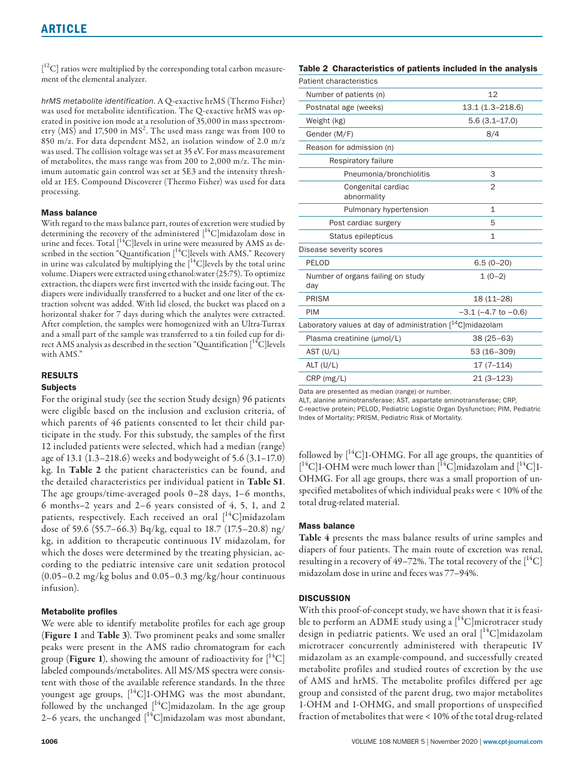$[{}^{12}C]$  ratios were multiplied by the corresponding total carbon measurement of the elemental analyzer.

*hrMS metabolite identification*. A Q-exactive hrMS (Thermo Fisher) was used for metabolite identification. The Q-exactive hrMS was operated in positive ion mode at a resolution of 35,000 in mass spectrometry (MS) and 17,500 in  $\mathrm{MS}^2$ . The used mass range was from 100 to 850 m/z. For data dependent MS2, an isolation window of 2.0 m/z was used. The collision voltage was set at 35 eV. For mass measurement of metabolites, the mass range was from 200 to 2,000 m/z. The minimum automatic gain control was set at 5E3 and the intensity threshold at 1E5. Compound Discoverer (Thermo Fisher) was used for data processing.

## Mass balance

With regard to the mass balance part, routes of excretion were studied by determining the recovery of the administered  $\int_{0}^{14}C\vert$ midazolam dose in urine and feces. Total  $\lceil {^{14}C} \rceil$ levels in urine were measured by AMS as described in the section "Quantification  $[^{14}C]$ levels with AMS." Recovery in urine was calculated by multiplying the  $[14C]$ levels by the total urine volume. Diapers were extracted using ethanol:water (25:75). To optimize extraction, the diapers were first inverted with the inside facing out. The diapers were individually transferred to a bucket and one liter of the extraction solvent was added. With lid closed, the bucket was placed on a horizontal shaker for 7 days during which the analytes were extracted. After completion, the samples were homogenized with an Ultra-Turrax and a small part of the sample was transferred to a tin foiled cup for direct AMS analysis as described in the section "Quantification  $[^{14}C]$ levels with AMS."

## RESULTS

## Subjects

For the original study (see the section Study design) 96 patients were eligible based on the inclusion and exclusion criteria, of which parents of 46 patients consented to let their child participate in the study. For this substudy, the samples of the first 12 included patients were selected, which had a median (range) age of 13.1 (1.3–218.6) weeks and bodyweight of 5.6 (3.1–17.0) kg. In Table 2 the patient characteristics can be found, and the detailed characteristics per individual patient in Table S1. The age groups/time-averaged pools 0–28 days, 1–6 months, 6 months–2 years and 2–6 years consisted of 4, 5, 1, and 2 patients, respectively. Each received an oral  $[^{14}C]$ midazolam dose of 59.6 (55.7–66.3) Bq/kg, equal to 18.7 (17.5–20.8) ng/ kg, in addition to therapeutic continuous IV midazolam, for which the doses were determined by the treating physician, according to the pediatric intensive care unit sedation protocol (0.05–0.2 mg/kg bolus and 0.05–0.3 mg/kg/hour continuous infusion).

## Metabolite profiles

We were able to identify metabolite profiles for each age group (Figure 1 and Table 3). Two prominent peaks and some smaller peaks were present in the AMS radio chromatogram for each group (**Figure 1**), showing the amount of radioactivity for  $\left[^{14}C\right]$ labeled compounds/metabolites. All MS/MS spectra were consistent with those of the available reference standards. In the three youngest age groups,  $[^{14}C]$ 1-OHMG was the most abundant, followed by the unchanged  $[$ <sup>14</sup>C]midazolam. In the age group 2–6 years, the unchanged  $[$ <sup>14</sup>C]midazolam was most abundant,

## Table 2 Characteristics of patients included in the analysis

| 12                                                                     |  |  |
|------------------------------------------------------------------------|--|--|
| 13.1 (1.3-218.6)                                                       |  |  |
| $5.6(3.1 - 17.0)$                                                      |  |  |
| 8/4                                                                    |  |  |
|                                                                        |  |  |
|                                                                        |  |  |
| 3                                                                      |  |  |
| $\overline{2}$                                                         |  |  |
| $\mathbf{1}$                                                           |  |  |
| 5                                                                      |  |  |
| $\mathbf{1}$                                                           |  |  |
|                                                                        |  |  |
| $6.5(0-20)$                                                            |  |  |
| $1(0-2)$                                                               |  |  |
| $18(11 - 28)$                                                          |  |  |
| $-3.1$ ( $-4.7$ to $-0.6$ )                                            |  |  |
| Laboratory values at day of administration [ <sup>14</sup> C]midazolam |  |  |
| $38(25 - 63)$                                                          |  |  |
| 53 (16-309)                                                            |  |  |
| $17(7 - 114)$                                                          |  |  |
| $21(3 - 123)$                                                          |  |  |
|                                                                        |  |  |

Data are presented as median (range) or number.

ALT, alanine aminotransferase; AST, aspartate aminotransferase; CRP, C-reactive protein; PELOD, Pediatric Logistic Organ Dysfunction; PIM, Pediatric Index of Mortality; PRISM, Pediatric Risk of Mortality.

followed by  $\left[\right]^{14}$ C]1-OHMG. For all age groups, the quantities of  $[$ <sup>14</sup>C]1-OHM were much lower than  $[$ <sup>14</sup>C]midazolam and  $[$ <sup>14</sup>C]1-OHMG. For all age groups, there was a small proportion of unspecified metabolites of which individual peaks were < 10% of the total drug-related material.

#### Mass balance

Table 4 presents the mass balance results of urine samples and diapers of four patients. The main route of excretion was renal, resulting in a recovery of 49–72%. The total recovery of the  $\rm [^{14}C]$ midazolam dose in urine and feces was 77–94%.

#### **DISCUSSION**

With this proof-of-concept study, we have shown that it is feasible to perform an ADME study using a  $[$ <sup>14</sup>C microtracer study design in pediatric patients. We used an oral  $[{}^{14}C]$ midazolam microtracer concurrently administered with therapeutic IV midazolam as an example-compound, and successfully created metabolite profiles and studied routes of excretion by the use of AMS and hrMS. The metabolite profiles differed per age group and consisted of the parent drug, two major metabolites 1-OHM and 1-OHMG, and small proportions of unspecified fraction of metabolites that were < 10% of the total drug-related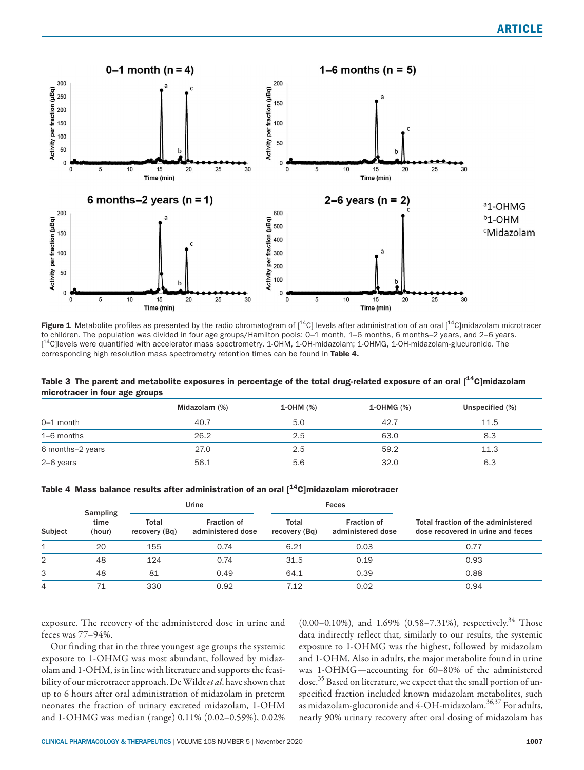

Figure 1 Metabolite profiles as presented by the radio chromatogram of  $[^{14}C]$  levels after administration of an oral  $[^{14}C]$ midazolam microtracer to children. The population was divided in four age groups/Hamilton pools: 0-1 month, 1-6 months, 6 months-2 years, and 2-6 years. [<sup>14</sup>C]levels were quantified with accelerator mass spectrometry. 1-OHM, 1-OH-midazolam; 1-OHMG, 1-OH-midazolam-glucuronide. The corresponding high resolution mass spectrometry retention times can be found in Table 4.

| Table 3 The parent and metabolite exposures in percentage of the total drug-related exposure of an oral [ <sup>14</sup> C]midazolam |  |
|-------------------------------------------------------------------------------------------------------------------------------------|--|
| microtracer in four age groups                                                                                                      |  |

|                  | Midazolam (%) | 1-OHM (%) | 1-OHMG (%) | Unspecified (%) |
|------------------|---------------|-----------|------------|-----------------|
| $0-1$ month      | 40.7          | 5.0       | 42.7       | 11.5            |
| 1-6 months       | 26.2          | 2.5       | 63.0       | 8.3             |
| 6 months-2 years | 27.0          | 2.5       | 59.2       | 11.3            |
| 2-6 years        | 56.1          | 5.6       | 32.0       | 6.3             |

|  |  |  |  |  |  |  | Table 4 Mass balance results after administration of an oral $[$ <sup>14</sup> C]midazolam microtracer |  |
|--|--|--|--|--|--|--|--------------------------------------------------------------------------------------------------------|--|
|--|--|--|--|--|--|--|--------------------------------------------------------------------------------------------------------|--|

|         | <b>Sampling</b><br>time<br>(hour) | Urine                  |                                  |                               | Feces                                   |                                                                         |  |
|---------|-----------------------------------|------------------------|----------------------------------|-------------------------------|-----------------------------------------|-------------------------------------------------------------------------|--|
| Subject |                                   | Total<br>recovery (Bq) | Fraction of<br>administered dose | <b>Total</b><br>recovery (Bg) | <b>Fraction of</b><br>administered dose | Total fraction of the administered<br>dose recovered in urine and feces |  |
|         | 20                                | 155                    | 0.74                             | 6.21                          | 0.03                                    | 0.77                                                                    |  |
| 2       | 48                                | 124                    | 0.74                             | 31.5                          | 0.19                                    | 0.93                                                                    |  |
| 3       | 48                                | 81                     | 0.49                             | 64.1                          | 0.39                                    | 0.88                                                                    |  |
| 4       | 71                                | 330                    | 0.92                             | 7.12                          | 0.02                                    | 0.94                                                                    |  |

exposure. The recovery of the administered dose in urine and feces was 77–94%.

Our finding that in the three youngest age groups the systemic exposure to 1-OHMG was most abundant, followed by midazolam and 1-OHM, is in line with literature and supports the feasibility of our microtracer approach. De Wildt *et al*. have shown that up to 6 hours after oral administration of midazolam in preterm neonates the fraction of urinary excreted midazolam, 1-OHM and 1-OHMG was median (range) 0.11% (0.02–0.59%), 0.02%

 $(0.00-0.10\%)$ , and 1.69%  $(0.58-7.31\%)$ , respectively.<sup>34</sup> Those data indirectly reflect that, similarly to our results, the systemic exposure to 1-OHMG was the highest, followed by midazolam and 1-OHM. Also in adults, the major metabolite found in urine was 1-OHMG—accounting for 60–80% of the administered dose.35 Based on literature, we expect that the small portion of unspecified fraction included known midazolam metabolites, such as midazolam-glucuronide and  $4\text{-OH}$ -midazolam. $^{36,37}$  For adults, nearly 90% urinary recovery after oral dosing of midazolam has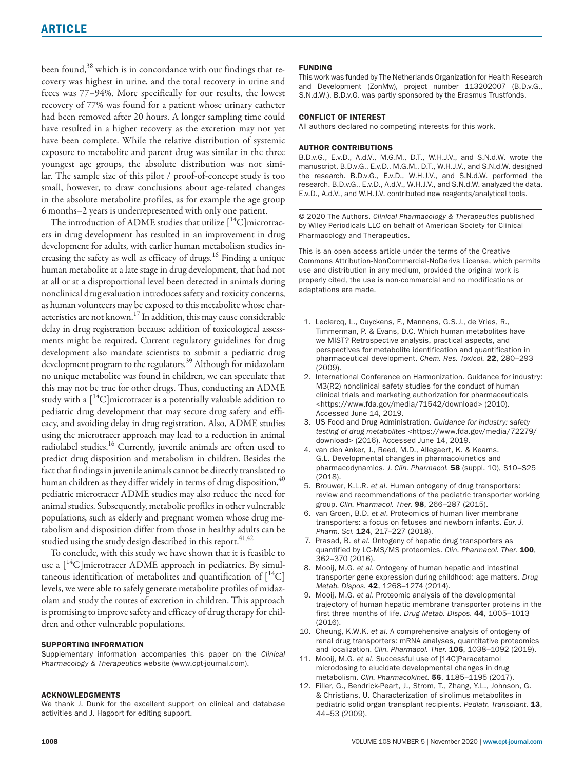been found,<sup>38</sup> which is in concordance with our findings that recovery was highest in urine, and the total recovery in urine and feces was 77–94%. More specifically for our results, the lowest recovery of 77% was found for a patient whose urinary catheter had been removed after 20 hours. A longer sampling time could have resulted in a higher recovery as the excretion may not yet have been complete. While the relative distribution of systemic exposure to metabolite and parent drug was similar in the three youngest age groups, the absolute distribution was not similar. The sample size of this pilot / proof-of-concept study is too small, however, to draw conclusions about age-related changes in the absolute metabolite profiles, as for example the age group 6 months–2 years is underrepresented with only one patient.

The introduction of ADME studies that utilize  $[^{14}C]$ microtracers in drug development has resulted in an improvement in drug development for adults, with earlier human metabolism studies increasing the safety as well as efficacy of drugs.<sup>16</sup> Finding a unique human metabolite at a late stage in drug development, that had not at all or at a disproportional level been detected in animals during nonclinical drug evaluation introduces safety and toxicity concerns, as human volunteers may be exposed to this metabolite whose characteristics are not known.17 In addition, this may cause considerable delay in drug registration because addition of toxicological assessments might be required. Current regulatory guidelines for drug development also mandate scientists to submit a pediatric drug development program to the regulators.39 Although for midazolam no unique metabolite was found in children, we can speculate that this may not be true for other drugs. Thus, conducting an ADME study with a  $[{}^{14}C]$ microtracer is a potentially valuable addition to pediatric drug development that may secure drug safety and efficacy, and avoiding delay in drug registration. Also, ADME studies using the microtracer approach may lead to a reduction in animal radiolabel studies.16 Currently, juvenile animals are often used to predict drug disposition and metabolism in children. Besides the fact that findings in juvenile animals cannot be directly translated to human children as they differ widely in terms of drug disposition, <sup>40</sup> pediatric microtracer ADME studies may also reduce the need for animal studies. Subsequently, metabolic profiles in other vulnerable populations, such as elderly and pregnant women whose drug metabolism and disposition differ from those in healthy adults can be studied using the study design described in this report.<sup>41,42</sup>

To conclude, with this study we have shown that it is feasible to use a  $[{}^{14}C]$ microtracer ADME approach in pediatrics. By simultaneous identification of metabolites and quantification of  $[{}^{14}C]$ levels, we were able to safely generate metabolite profiles of midazolam and study the routes of excretion in children. This approach is promising to improve safety and efficacy of drug therapy for children and other vulnerable populations.

#### SUPPORTING INFORMATION

Supplementary information accompanies this paper on the *Clinical Pharmacology & Therapeutics* website (www.cpt-journal.com).

#### ACKNOWLEDGMENTS

We thank J. Dunk for the excellent support on clinical and database activities and J. Hagoort for editing support.

#### FUNDING

This work was funded by The Netherlands Organization for Health Research and Development (ZonMw), project number 113202007 (B.D.v.G., S.N.d.W.). B.D.v.G. was partly sponsored by the Erasmus Trustfonds.

#### CONFLICT OF INTEREST

All authors declared no competing interests for this work.

#### AUTHOR CONTRIBUTIONS

B.D.v.G., E.v.D., A.d.V., M.G.M., D.T., W.H.J.V., and S.N.d.W. wrote the manuscript. B.D.v.G., E.v.D., M.G.M., D.T., W.H.J.V., and S.N.d.W. designed the research. B.D.v.G., E.v.D., W.H.J.V., and S.N.d.W. performed the research. B.D.v.G., E.v.D., A.d.V., W.H.J.V., and S.N.d.W. analyzed the data. E.v.D., A.d.V., and W.H.J.V. contributed new reagents/analytical tools.

© 2020 The Authors. *Clinical Pharmacology & Therapeutics* published by Wiley Periodicals LLC on behalf of American Society for Clinical Pharmacology and Therapeutics.

This is an open access article under the terms of the [Creative](http://creativecommons.org/licenses/by-nc-nd/4.0/)  [Commons Attribution-NonCommercial-NoDerivs](http://creativecommons.org/licenses/by-nc-nd/4.0/) License, which permits use and distribution in any medium, provided the original work is properly cited, the use is non-commercial and no modifications or adaptations are made.

- 1. Leclercq, L., Cuyckens, F., Mannens, G.S.J., de Vries, R., Timmerman, P. & Evans, D.C. Which human metabolites have we MIST? Retrospective analysis, practical aspects, and perspectives for metabolite identification and quantification in pharmaceutical development. *Chem. Res. Toxicol.* 22, 280–293 (2009).
- 2. International Conference on Harmonization. Guidance for industry: M3(R2) nonclinical safety studies for the conduct of human clinical trials and marketing authorization for pharmaceuticals [<https://www.fda.gov/media/71542/download>](https://www.fda.gov/media/71542/download) (2010). Accessed June 14, 2019.
- 3. US Food and Drug Administration. *Guidance for industry: safety testing of drug metabolites* <[https://www.fda.gov/media/72279/](https://www.fda.gov/media/72279/download) [download>](https://www.fda.gov/media/72279/download) (2016). Accessed June 14, 2019.
- 4. van den Anker, J., Reed, M.D., Allegaert, K. & Kearns, G.L. Developmental changes in pharmacokinetics and pharmacodynamics. *J. Clin. Pharmacol.* 58 (suppl. 10), S10–S25 (2018).
- 5. Brouwer, K.L.R. *et al*. Human ontogeny of drug transporters: review and recommendations of the pediatric transporter working group. *Clin. Pharmacol. Ther.* 98, 266–287 (2015).
- 6. van Groen, B.D. *et al*. Proteomics of human liver membrane transporters: a focus on fetuses and newborn infants. *Eur. J. Pharm. Sci.* 124, 217–227 (2018).
- 7. Prasad, B. *et al*. Ontogeny of hepatic drug transporters as quantified by LC-MS/MS proteomics. *Clin. Pharmacol. Ther.* 100, 362–370 (2016).
- 8. Mooij, M.G. *et al*. Ontogeny of human hepatic and intestinal transporter gene expression during childhood: age matters. *Drug Metab. Dispos.* 42, 1268–1274 (2014).
- 9. Mooij, M.G. *et al*. Proteomic analysis of the developmental trajectory of human hepatic membrane transporter proteins in the first three months of life. *Drug Metab. Dispos.* 44, 1005–1013 (2016).
- 10. Cheung, K.W.K. *et al*. A comprehensive analysis of ontogeny of renal drug transporters: mRNA analyses, quantitative proteomics and localization. *Clin. Pharmacol. Ther.* 106, 1038–1092 (2019).
- 11. Mooij, M.G. *et al*. Successful use of [14C]Paracetamol microdosing to elucidate developmental changes in drug metabolism. *Clin. Pharmacokinet.* 56, 1185–1195 (2017).
- 12. Filler, G., Bendrick-Peart, J., Strom, T., Zhang, Y.L., Johnson, G. & Christians, U. Characterization of sirolimus metabolites in pediatric solid organ transplant recipients. *Pediatr. Transplant.* 13, 44–53 (2009).